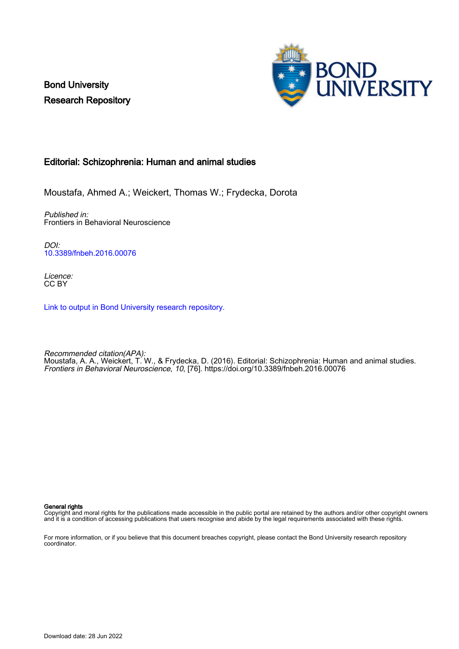Bond University Research Repository



## Editorial: Schizophrenia: Human and animal studies

Moustafa, Ahmed A.; Weickert, Thomas W.; Frydecka, Dorota

Published in: Frontiers in Behavioral Neuroscience

DOI: [10.3389/fnbeh.2016.00076](https://doi.org/10.3389/fnbeh.2016.00076)

Licence: CC BY

[Link to output in Bond University research repository.](https://research.bond.edu.au/en/publications/f74f9f87-6540-4acb-8b42-49e6df974e62)

Recommended citation(APA): Moustafa, A. A., Weickert, T. W., & Frydecka, D. (2016). Editorial: Schizophrenia: Human and animal studies. Frontiers in Behavioral Neuroscience, 10, [76].<https://doi.org/10.3389/fnbeh.2016.00076>

General rights

Copyright and moral rights for the publications made accessible in the public portal are retained by the authors and/or other copyright owners and it is a condition of accessing publications that users recognise and abide by the legal requirements associated with these rights.

For more information, or if you believe that this document breaches copyright, please contact the Bond University research repository coordinator.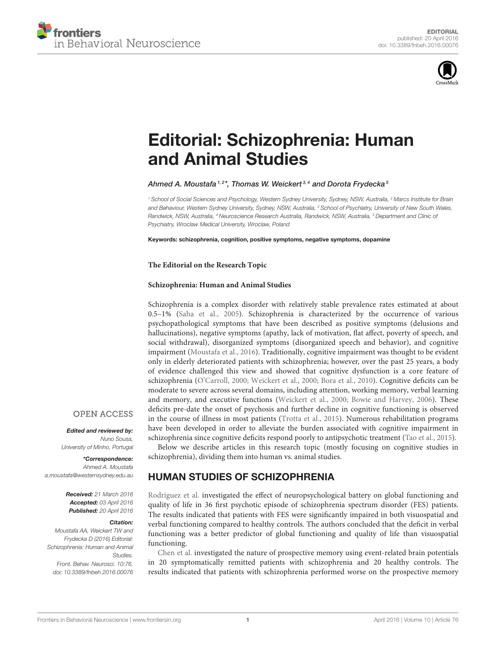



# [Editorial: Schizophrenia: Human](http://journal.frontiersin.org/article/10.3389/fnbeh.2016.00076/full) and Animal Studies

## [Ahmed A. Moustafa](http://loop.frontiersin.org/people/15417/overview)  $^{1,2\star}$ , Thomas W. Weickert  $^{3,4}$  and [Dorota Frydecka](http://loop.frontiersin.org/people/153706/overview)  $^5$

*<sup>1</sup> School of Social Sciences and Psychology, Western Sydney University, Sydney, NSW, Australia, <sup>2</sup> Marcs Institute for Brain and Behaviour, Western Sydney University, Sydney, NSW, Australia, <sup>3</sup> School of Psychiatry, University of New South Wales, Randwick, NSW, Australia, <sup>4</sup> Neuroscience Research Australia, Randwick, NSW, Australia, <sup>5</sup> Department and Clinic of Psychiatry, Wroclaw Medical University, Wroclaw, Poland*

Keywords: schizophrenia, cognition, positive symptoms, negative symptoms, dopamine

### **The Editorial on the Research Topic**

#### **[Schizophrenia: Human and Animal Studies](http://journal.frontiersin.org/researchtopic/2655/schizophrenia-human-and-animal-studies)**

Schizophrenia is a complex disorder with relatively stable prevalence rates estimated at about 0.5–1% [\(Saha et al., 2005\)](#page-3-0). Schizophrenia is characterized by the occurrence of various psychopathological symptoms that have been described as positive symptoms (delusions and hallucinations), negative symptoms (apathy, lack of motivation, flat affect, poverty of speech, and social withdrawal), disorganized symptoms (disorganized speech and behavior), and cognitive impairment [\(Moustafa et al., 2016\)](#page-3-1). Traditionally, cognitive impairment was thought to be evident only in elderly deteriorated patients with schizophrenia; however, over the past 25 years, a body of evidence challenged this view and showed that cognitive dysfunction is a core feature of schizophrenia [\(O'Carroll, 2000;](#page-3-2) [Weickert et al., 2000;](#page-3-3) [Bora et al., 2010\)](#page-3-4). Cognitive deficits can be moderate to severe across several domains, including attention, working memory, verbal learning and memory, and executive functions [\(Weickert et al., 2000;](#page-3-3) [Bowie and Harvey, 2006\)](#page-3-5). These deficits pre-date the onset of psychosis and further decline in cognitive functioning is observed in the course of illness in most patients [\(Trotta et al., 2015\)](#page-3-6). Numerous rehabilitation programs have been developed in order to alleviate the burden associated with cognitive impairment in schizophrenia since cognitive deficits respond poorly to antipsychotic treatment [\(Tao et al., 2015\)](#page-3-7).

Below we describe articles in this research topic (mostly focusing on cognitive studies in schizophrenia), dividing them into human vs. animal studies.

# HUMAN STUDIES OF SCHIZOPHRENIA

[Rodriguez et al.](http://dx.doi.org/10.3389/fnbeh.2015.00322) investigated the effect of neuropsychological battery on global functioning and quality of life in 36 first psychotic episode of schizophrenia spectrum disorder (FES) patients. The results indicated that patients with FES were significantly impaired in both visuospatial and verbal functioning compared to healthy controls. The authors concluded that the deficit in verbal functioning was a better predictor of global functioning and quality of life than visuospatial functioning.

[Chen et al.](http://dx.doi.org/10.3389/fnbeh.2015.00262) investigated the nature of prospective memory using event-related brain potentials in 20 symptomatically remitted patients with schizophrenia and 20 healthy controls. The results indicated that patients with schizophrenia performed worse on the prospective memory

## **OPEN ACCESS**

Edited and reviewed by: *Nuno Sousa, University of Minho, Portugal*

\*Correspondence: *Ahmed A. Moustafa [a.moustafa@westernsydney.edu.au](mailto:a.moustafa@westernsydney.edu.au)*

> Received: *21 March 2016* Accepted: *03 April 2016* Published: *20 April 2016*

#### Citation:

*Moustafa AA, Weickert TW and Frydecka D (2016) Editorial: Schizophrenia: Human and Animal Studies. Front. Behav. Neurosci. 10:76. doi: [10.3389/fnbeh.2016.00076](http://dx.doi.org/10.3389/fnbeh.2016.00076)*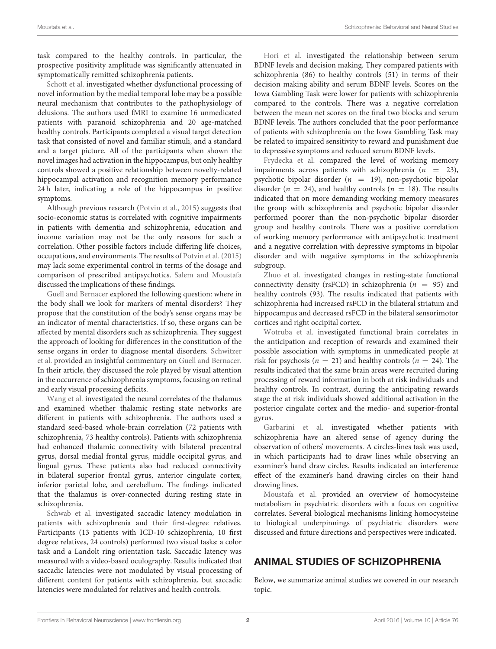task compared to the healthy controls. In particular, the prospective positivity amplitude was significantly attenuated in symptomatically remitted schizophrenia patients.

[Schott et al.](http://dx.doi.org/10.3389/fnbeh.2015.00144) investigated whether dysfunctional processing of novel information by the medial temporal lobe may be a possible neural mechanism that contributes to the pathophysiology of delusions. The authors used fMRI to examine 16 unmedicated patients with paranoid schizophrenia and 20 age-matched healthy controls. Participants completed a visual target detection task that consisted of novel and familiar stimuli, and a standard and a target picture. All of the participants when shown the novel images had activation in the hippocampus, but only healthy controls showed a positive relationship between novelty-related hippocampal activation and recognition memory performance 24 h later, indicating a role of the hippocampus in positive symptoms.

Although previous research [\(Potvin et al., 2015\)](#page-3-8) suggests that socio-economic status is correlated with cognitive impairments in patients with dementia and schizophrenia, education and income variation may not be the only reasons for such a correlation. Other possible factors include differing life choices, occupations, and environments. The results of [Potvin et al. \(2015\)](#page-3-8) may lack some experimental control in terms of the dosage and comparison of prescribed antipsychotics. [Salem and Moustafa](http://dx.doi.org/10.3389/fnbeh.2015.00131) discussed the implications of these findings.

[Guell and Bernacer](http://dx.doi.org/10.3389/fnbeh.2015.00059) explored the following question: where in the body shall we look for markers of mental disorders? They propose that the constitution of the body's sense organs may be an indicator of mental characteristics. If so, these organs can be affected by mental disorders such as schizophrenia. They suggest the approach of looking for differences in the constitution of the [sense organs in order to diagnose mental disorders.](http://dx.doi.org/10.3389/fnbeh.2016.00056) Schwitzer et al. provided an insightful commentary on [Guell and Bernacer.](http://dx.doi.org/10.3389/fnbeh.2015.00059) In their article, they discussed the role played by visual attention in the occurrence of schizophrenia symptoms, focusing on retinal and early visual processing deficits.

[Wang et al.](http://dx.doi.org/10.3389/fnbeh.2015.00045) investigated the neural correlates of the thalamus and examined whether thalamic resting state networks are different in patients with schizophrenia. The authors used a standard seed-based whole-brain correlation (72 patients with schizophrenia, 73 healthy controls). Patients with schizophrenia had enhanced thalamic connectivity with bilateral precentral gyrus, dorsal medial frontal gyrus, middle occipital gyrus, and lingual gyrus. These patients also had reduced connectivity in bilateral superior frontal gyrus, anterior cingulate cortex, inferior parietal lobe, and cerebellum. The findings indicated that the thalamus is over-connected during resting state in schizophrenia.

[Schwab et al.](http://dx.doi.org/10.3389/fnbeh.2015.00044) investigated saccadic latency modulation in patients with schizophrenia and their first-degree relatives. Participants (13 patients with ICD-10 schizophrenia, 10 first degree relatives, 24 controls) performed two visual tasks: a color task and a Landolt ring orientation task. Saccadic latency was measured with a video-based oculography. Results indicated that saccadic latencies were not modulated by visual processing of different content for patients with schizophrenia, but saccadic latencies were modulated for relatives and health controls.

[Hori et al.](http://dx.doi.org/10.3389/fnbeh.2014.00417) investigated the relationship between serum BDNF levels and decision making. They compared patients with schizophrenia (86) to healthy controls (51) in terms of their decision making ability and serum BDNF levels. Scores on the Iowa Gambling Task were lower for patients with schizophrenia compared to the controls. There was a negative correlation between the mean net scores on the final two blocks and serum BDNF levels. The authors concluded that the poor performance of patients with schizophrenia on the Iowa Gambling Task may be related to impaired sensitivity to reward and punishment due to depressive symptoms and reduced serum BDNF levels.

[Frydecka et al.](http://dx.doi.org/10.3389/fnbeh.2014.00416) compared the level of working memory impairments across patients with schizophrenia  $(n = 23)$ , psychotic bipolar disorder  $(n = 19)$ , non-psychotic bipolar disorder ( $n = 24$ ), and healthy controls ( $n = 18$ ). The results indicated that on more demanding working memory measures the group with schizophrenia and psychotic bipolar disorder performed poorer than the non-psychotic bipolar disorder group and healthy controls. There was a positive correlation of working memory performance with antipsychotic treatment and a negative correlation with depressive symptoms in bipolar disorder and with negative symptoms in the schizophrenia subgroup.

[Zhuo et al.](http://dx.doi.org/10.3389/fnbeh.2014.00404) investigated changes in resting-state functional connectivity density (rsFCD) in schizophrenia ( $n = 95$ ) and healthy controls (93). The results indicated that patients with schizophrenia had increased rsFCD in the bilateral striatum and hippocampus and decreased rsFCD in the bilateral sensorimotor cortices and right occipital cortex.

[Wotruba et al.](http://dx.doi.org/10.3389/fnbeh.2014.00382) investigated functional brain correlates in the anticipation and reception of rewards and examined their possible association with symptoms in unmedicated people at risk for psychosis ( $n = 21$ ) and healthy controls ( $n = 24$ ). The results indicated that the same brain areas were recruited during processing of reward information in both at risk individuals and healthy controls. In contrast, during the anticipating rewards stage the at risk individuals showed additional activation in the posterior cingulate cortex and the medio- and superior-frontal gyrus.

[Garbarini et al.](http://dx.doi.org/10.3389/fnbeh.2016.00043) investigated whether patients with schizophrenia have an altered sense of agency during the observation of others' movements. A circles-lines task was used, in which participants had to draw lines while observing an examiner's hand draw circles. Results indicated an interference effect of the examiner's hand drawing circles on their hand drawing lines.

[Moustafa et al.](http://dx.doi.org/10.3389/fnbeh.2014.00343) provided an overview of homocysteine metabolism in psychiatric disorders with a focus on cognitive correlates. Several biological mechanisms linking homocysteine to biological underpinnings of psychiatric disorders were discussed and future directions and perspectives were indicated.

# ANIMAL STUDIES OF SCHIZOPHRENIA

Below, we summarize animal studies we covered in our research topic.